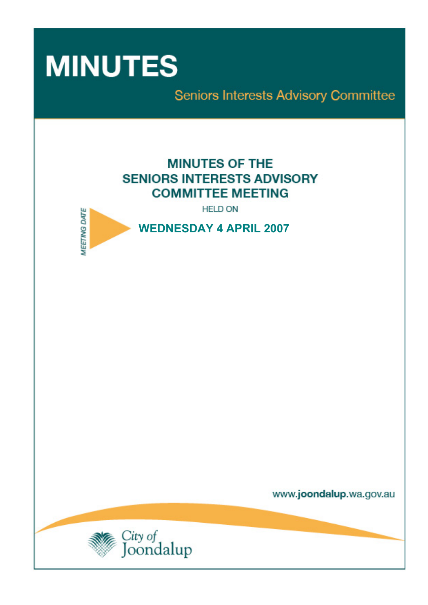

Seniors Interests Advisory Committee

# **MINUTES OF THE SENIORS INTERESTS ADVISORY COMMITTEE MEETING**

**HELD ON** 



www.joondalup.wa.gov.au

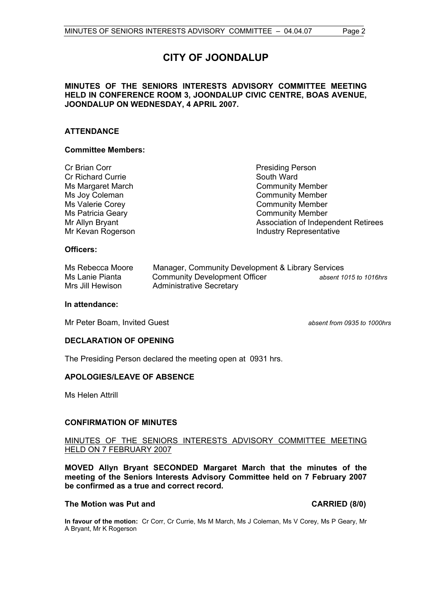# **CITY OF JOONDALUP**

# **MINUTES OF THE SENIORS INTERESTS ADVISORY COMMITTEE MEETING HELD IN CONFERENCE ROOM 3, JOONDALUP CIVIC CENTRE, BOAS AVENUE, JOONDALUP ON WEDNESDAY, 4 APRIL 2007.**

# **ATTENDANCE**

# **Committee Members:**

| Cr Brian Corr            |
|--------------------------|
| <b>Cr Richard Currie</b> |
| Ms Margaret March        |
| Ms Joy Coleman           |
| Ms Valerie Corey         |
| Ms Patricia Geary        |
| Mr Allyn Bryant          |
| Mr Kevan Rogerson        |

Presiding Person South Ward Community Member Community Member **Community Member Community Member** Association of Independent Retirees gerson **Mr According Contract Contract Contract Contract Contract Contract Contract Contract Contract Contract Contract Contract Contract Contract Contract Contract Contract Contract Contract Contract Contract Contract Con** 

# **Officers:**

| Ms Rebecca Moore | Manager, Community Development & Library Services |                        |
|------------------|---------------------------------------------------|------------------------|
| Ms Lanie Pianta  | <b>Community Development Officer</b>              | absent 1015 to 1016hrs |
| Mrs Jill Hewison | <b>Administrative Secretary</b>                   |                        |

#### **In attendance:**

Mr Peter Boam, Invited Guest *absent from 0935 to 1000hrs*

# **DECLARATION OF OPENING**

The Presiding Person declared the meeting open at 0931 hrs.

# **APOLOGIES/LEAVE OF ABSENCE**

Ms Helen Attrill

# **CONFIRMATION OF MINUTES**

# MINUTES OF THE SENIORS INTERESTS ADVISORY COMMITTEE MEETING HELD ON 7 FEBRUARY 2007

**MOVED Allyn Bryant SECONDED Margaret March that the minutes of the meeting of the Seniors Interests Advisory Committee held on 7 February 2007 be confirmed as a true and correct record.** 

# **The Motion was Put and CARRIED (8/0) CARRIED (8/0)**

**In favour of the motion:** Cr Corr, Cr Currie, Ms M March, Ms J Coleman, Ms V Corey, Ms P Geary, Mr A Bryant, Mr K Rogerson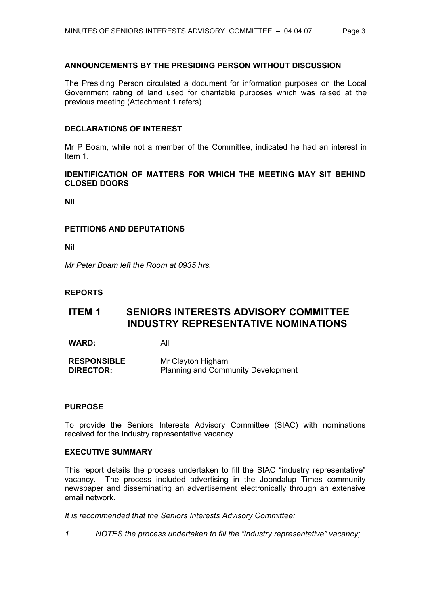# **ANNOUNCEMENTS BY THE PRESIDING PERSON WITHOUT DISCUSSION**

The Presiding Person circulated a document for information purposes on the Local Government rating of land used for charitable purposes which was raised at the previous meeting (Attachment 1 refers).

# **DECLARATIONS OF INTEREST**

Mr P Boam, while not a member of the Committee, indicated he had an interest in Item 1.

# **IDENTIFICATION OF MATTERS FOR WHICH THE MEETING MAY SIT BEHIND CLOSED DOORS**

**Nil** 

# **PETITIONS AND DEPUTATIONS**

**Nil** 

*Mr Peter Boam left the Room at 0935 hrs.* 

# **REPORTS**

# **ITEM 1 SENIORS INTERESTS ADVISORY COMMITTEE INDUSTRY REPRESENTATIVE NOMINATIONS**

**WARD:** All

| <b>RESPONSIBLE</b> | Mr Clayton Higham                         |
|--------------------|-------------------------------------------|
| <b>DIRECTOR:</b>   | <b>Planning and Community Development</b> |

# **PURPOSE**

To provide the Seniors Interests Advisory Committee (SIAC) with nominations received for the Industry representative vacancy.

\_\_\_\_\_\_\_\_\_\_\_\_\_\_\_\_\_\_\_\_\_\_\_\_\_\_\_\_\_\_\_\_\_\_\_\_\_\_\_\_\_\_\_\_\_\_\_\_\_\_\_\_\_\_\_\_\_\_\_\_\_\_\_\_\_\_\_

# **EXECUTIVE SUMMARY**

This report details the process undertaken to fill the SIAC "industry representative" vacancy. The process included advertising in the Joondalup Times community newspaper and disseminating an advertisement electronically through an extensive email network.

*It is recommended that the Seniors Interests Advisory Committee:* 

*1 NOTES the process undertaken to fill the "industry representative" vacancy;*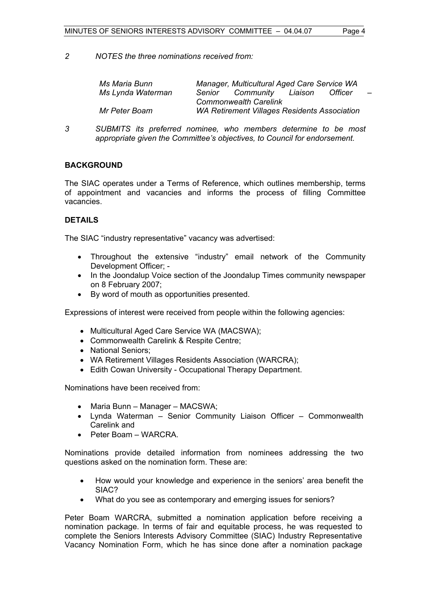*2 NOTES the three nominations received from:* 

| Ms Maria Bunn     |        | Manager, Multicultural Aged Care Service WA         |         |                |          |
|-------------------|--------|-----------------------------------------------------|---------|----------------|----------|
| Ms Lynda Waterman | Senior | Community                                           | Liaison | <b>Officer</b> | $\equiv$ |
|                   |        | <b>Commonwealth Carelink</b>                        |         |                |          |
| Mr Peter Boam     |        | <b>WA Retirement Villages Residents Association</b> |         |                |          |

*3 SUBMITS its preferred nominee, who members determine to be most appropriate given the Committee's objectives, to Council for endorsement.* 

# **BACKGROUND**

The SIAC operates under a Terms of Reference, which outlines membership, terms of appointment and vacancies and informs the process of filling Committee vacancies.

# **DETAILS**

The SIAC "industry representative" vacancy was advertised:

- Throughout the extensive "industry" email network of the Community Development Officer; -
- In the Joondalup Voice section of the Joondalup Times community newspaper on 8 February 2007;
- By word of mouth as opportunities presented.

Expressions of interest were received from people within the following agencies:

- Multicultural Aged Care Service WA (MACSWA);
- Commonwealth Carelink & Respite Centre;
- National Seniors:
- WA Retirement Villages Residents Association (WARCRA);
- Edith Cowan University Occupational Therapy Department.

Nominations have been received from:

- Maria Bunn Manager MACSWA;
- Lynda Waterman Senior Community Liaison Officer Commonwealth Carelink and
- Peter Boam WARCRA.

Nominations provide detailed information from nominees addressing the two questions asked on the nomination form. These are:

- How would your knowledge and experience in the seniors' area benefit the SIAC?
- What do you see as contemporary and emerging issues for seniors?

Peter Boam WARCRA, submitted a nomination application before receiving a nomination package. In terms of fair and equitable process, he was requested to complete the Seniors Interests Advisory Committee (SIAC) Industry Representative Vacancy Nomination Form, which he has since done after a nomination package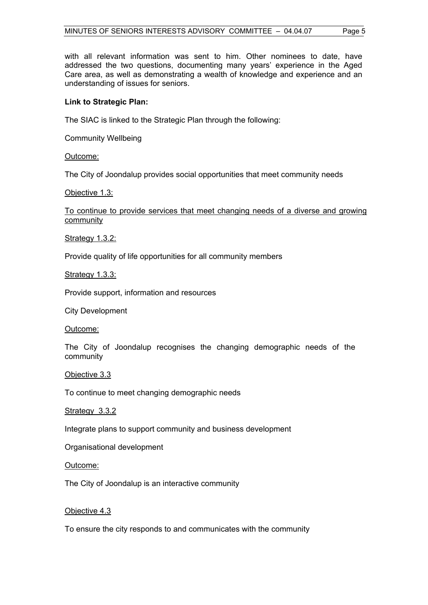with all relevant information was sent to him. Other nominees to date, have addressed the two questions, documenting many years' experience in the Aged Care area, as well as demonstrating a wealth of knowledge and experience and an understanding of issues for seniors.

# **Link to Strategic Plan:**

The SIAC is linked to the Strategic Plan through the following:

Community Wellbeing

Outcome:

The City of Joondalup provides social opportunities that meet community needs

# Objective 1.3:

# To continue to provide services that meet changing needs of a diverse and growing community

Strategy 1.3.2:

Provide quality of life opportunities for all community members

Strategy 1.3.3:

Provide support, information and resources

City Development

Outcome:

The City of Joondalup recognises the changing demographic needs of the community

# Objective 3.3

To continue to meet changing demographic needs

#### Strategy 3.3.2

Integrate plans to support community and business development

Organisational development

#### Outcome:

The City of Joondalup is an interactive community

# Objective 4.3

To ensure the city responds to and communicates with the community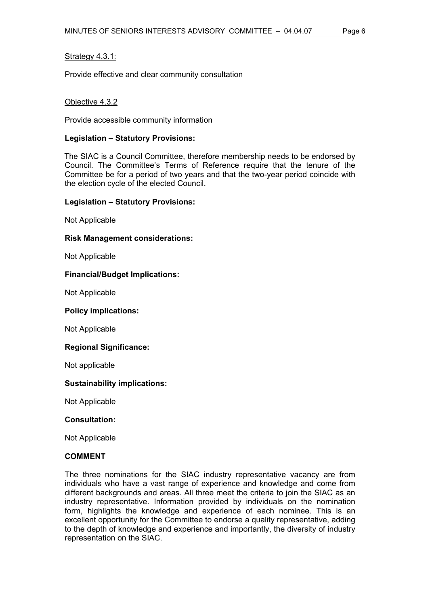# Strategy 4.3.1:

Provide effective and clear community consultation

# Objective 4.3.2

Provide accessible community information

# **Legislation – Statutory Provisions:**

The SIAC is a Council Committee, therefore membership needs to be endorsed by Council. The Committee's Terms of Reference require that the tenure of the Committee be for a period of two years and that the two-year period coincide with the election cycle of the elected Council.

# **Legislation – Statutory Provisions:**

Not Applicable

# **Risk Management considerations:**

Not Applicable

# **Financial/Budget Implications:**

Not Applicable

# **Policy implications:**

Not Applicable

# **Regional Significance:**

Not applicable

# **Sustainability implications:**

Not Applicable

# **Consultation:**

Not Applicable

# **COMMENT**

The three nominations for the SIAC industry representative vacancy are from individuals who have a vast range of experience and knowledge and come from different backgrounds and areas. All three meet the criteria to join the SIAC as an industry representative. Information provided by individuals on the nomination form, highlights the knowledge and experience of each nominee. This is an excellent opportunity for the Committee to endorse a quality representative, adding to the depth of knowledge and experience and importantly, the diversity of industry representation on the SIAC.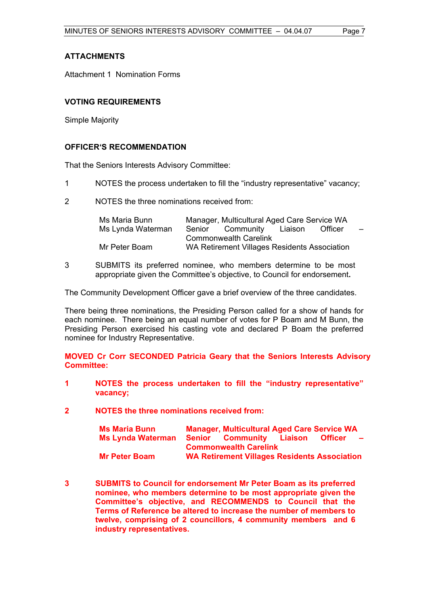Attachment 1 Nomination Forms

# **VOTING REQUIREMENTS**

Simple Majority

# **OFFICER'S RECOMMENDATION**

That the Seniors Interests Advisory Committee:

- 1 NOTES the process undertaken to fill the "industry representative" vacancy;
- 2 NOTES the three nominations received from:

| Ms Maria Bunn     |        | Manager, Multicultural Aged Care Service WA  |         |                          |
|-------------------|--------|----------------------------------------------|---------|--------------------------|
| Ms Lynda Waterman | Senior | Community Liaison                            | Officer | $\overline{\phantom{0}}$ |
|                   |        | <b>Commonwealth Carelink</b>                 |         |                          |
| Mr Peter Boam     |        | WA Retirement Villages Residents Association |         |                          |

3 SUBMITS its preferred nominee, who members determine to be most appropriate given the Committee's objective, to Council for endorsement**.** 

The Community Development Officer gave a brief overview of the three candidates.

There being three nominations, the Presiding Person called for a show of hands for each nominee. There being an equal number of votes for P Boam and M Bunn, the Presiding Person exercised his casting vote and declared P Boam the preferred nominee for Industry Representative.

**MOVED Cr Corr SECONDED Patricia Geary that the Seniors Interests Advisory Committee:** 

- **1 NOTES the process undertaken to fill the "industry representative" vacancy;**
- **2 NOTES the three nominations received from:**

| <b>Ms Maria Bunn</b>     | <b>Manager, Multicultural Aged Care Service WA</b>  |                   |
|--------------------------|-----------------------------------------------------|-------------------|
| <b>Ms Lynda Waterman</b> | <b>Senior Community Liaison</b>                     | Officer<br>$\sim$ |
|                          | <b>Commonwealth Carelink</b>                        |                   |
| <b>Mr Peter Boam</b>     | <b>WA Retirement Villages Residents Association</b> |                   |

**3 SUBMITS to Council for endorsement Mr Peter Boam as its preferred nominee, who members determine to be most appropriate given the Committee's objective, and RECOMMENDS to Council that the Terms of Reference be altered to increase the number of members to twelve, comprising of 2 councillors, 4 community members and 6 industry representatives.**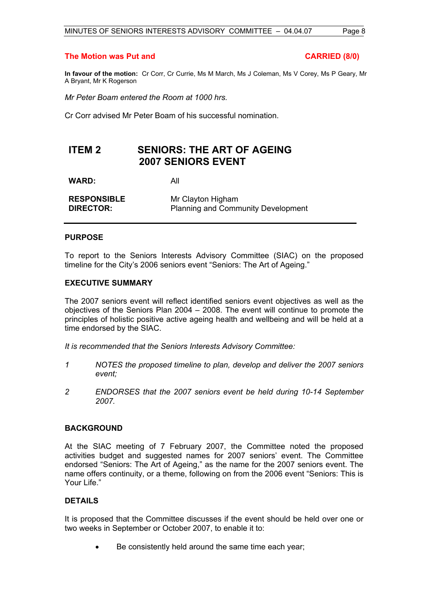# **The Motion was Put and CARRIED (8/0)**

**In favour of the motion:** Cr Corr, Cr Currie, Ms M March, Ms J Coleman, Ms V Corey, Ms P Geary, Mr A Bryant, Mr K Rogerson

*Mr Peter Boam entered the Room at 1000 hrs.* 

Cr Corr advised Mr Peter Boam of his successful nomination.

# **ITEM 2 SENIORS: THE ART OF AGEING 2007 SENIORS EVENT**

**WARD:** All

| <b>RESPONSIBLE</b> | Mr Clayton Higham                         |
|--------------------|-------------------------------------------|
| <b>DIRECTOR:</b>   | <b>Planning and Community Development</b> |

# **PURPOSE**

To report to the Seniors Interests Advisory Committee (SIAC) on the proposed timeline for the City's 2006 seniors event "Seniors: The Art of Ageing."

# **EXECUTIVE SUMMARY**

The 2007 seniors event will reflect identified seniors event objectives as well as the objectives of the Seniors Plan 2004 – 2008. The event will continue to promote the principles of holistic positive active ageing health and wellbeing and will be held at a time endorsed by the SIAC.

*It is recommended that the Seniors Interests Advisory Committee:* 

- *1 NOTES the proposed timeline to plan, develop and deliver the 2007 seniors event;*
- *2 ENDORSES that the 2007 seniors event be held during 10-14 September 2007.*

# **BACKGROUND**

At the SIAC meeting of 7 February 2007, the Committee noted the proposed activities budget and suggested names for 2007 seniors' event. The Committee endorsed "Seniors: The Art of Ageing," as the name for the 2007 seniors event. The name offers continuity, or a theme, following on from the 2006 event "Seniors: This is Your Life."

# **DETAILS**

It is proposed that the Committee discusses if the event should be held over one or two weeks in September or October 2007, to enable it to:

• Be consistently held around the same time each year;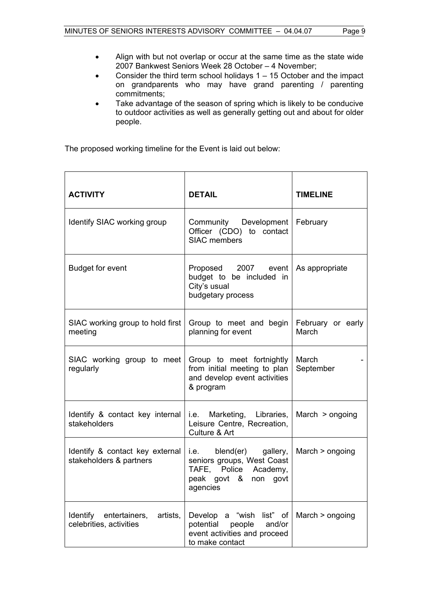- Align with but not overlap or occur at the same time as the state wide 2007 Bankwest Seniors Week 28 October – 4 November;
- Consider the third term school holidays  $1 15$  October and the impact on grandparents who may have grand parenting / parenting commitments;
- Take advantage of the season of spring which is likely to be conducive to outdoor activities as well as generally getting out and about for older people.

The proposed working timeline for the Event is laid out below:

| <b>ACTIVITY</b>                                               | <b>DETAIL</b>                                                                                                         | <b>TIMELINE</b>            |
|---------------------------------------------------------------|-----------------------------------------------------------------------------------------------------------------------|----------------------------|
| Identify SIAC working group                                   | Community Development<br>Officer (CDO) to contact<br><b>SIAC members</b>                                              | February                   |
| <b>Budget for event</b>                                       | Proposed 2007 event<br>budget to be included in<br>City's usual<br>budgetary process                                  | As appropriate             |
| SIAC working group to hold first<br>meeting                   | Group to meet and begin<br>planning for event                                                                         | February or early<br>March |
| SIAC working group to meet<br>regularly                       | Group to meet fortnightly<br>from initial meeting to plan<br>and develop event activities<br>& program                | March<br>September         |
| Identify & contact key internal<br>stakeholders               | i.e. Marketing, Libraries,<br>Leisure Centre, Recreation,<br>Culture & Art                                            | March $>$ ongoing          |
| Identify & contact key external<br>stakeholders & partners    | i.e.<br>blend(er) gallery,<br>seniors groups, West Coast<br>TAFE, Police Academy,<br>peak govt & non govt<br>agencies | March > ongoing            |
| artists,<br>Identify entertainers,<br>celebrities, activities | Develop a "wish list" of<br>potential<br>people<br>and/or<br>event activities and proceed<br>to make contact          | March > ongoing            |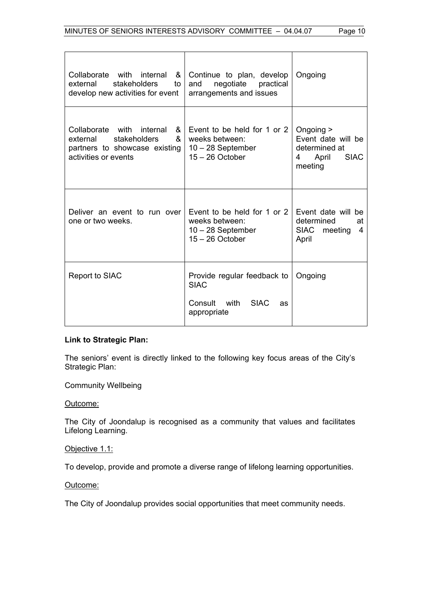| Collaborate with internal<br>&<br>stakeholders<br>external<br>to<br>develop new activities for event                     | Continue to plan, develop<br>negotiate<br>practical<br>and<br>arrangements and issues     | Ongoing                                                                                  |
|--------------------------------------------------------------------------------------------------------------------------|-------------------------------------------------------------------------------------------|------------------------------------------------------------------------------------------|
| Collaborate with internal<br>&<br>stakeholders<br>&<br>external<br>partners to showcase existing<br>activities or events | Event to be held for 1 or 2<br>weeks between:<br>$10 - 28$ September<br>$15 - 26$ October | Ongoing ><br>Event date will be<br>determined at<br><b>SIAC</b><br>April<br>4<br>meeting |
| Deliver an event to run over<br>one or two weeks.                                                                        | Event to be held for 1 or 2<br>weeks between:<br>$10 - 28$ September<br>$15 - 26$ October | Event date will be<br>determined<br>at<br><b>SIAC</b><br>meeting<br>4<br>April           |
| Report to SIAC                                                                                                           | Provide regular feedback to<br><b>SIAC</b>                                                | Ongoing                                                                                  |
|                                                                                                                          | Consult with SIAC<br>as<br>appropriate                                                    |                                                                                          |

# **Link to Strategic Plan:**

The seniors' event is directly linked to the following key focus areas of the City's Strategic Plan:

Community Wellbeing

# Outcome:

The City of Joondalup is recognised as a community that values and facilitates Lifelong Learning.

# Objective 1.1:

To develop, provide and promote a diverse range of lifelong learning opportunities.

# Outcome:

The City of Joondalup provides social opportunities that meet community needs.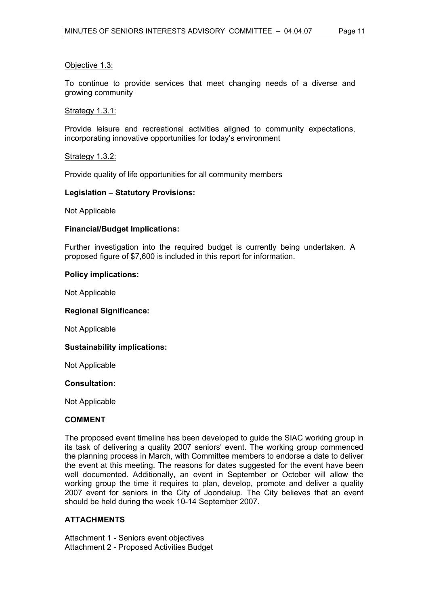# Objective 1.3:

To continue to provide services that meet changing needs of a diverse and growing community

# Strategy 1.3.1:

Provide leisure and recreational activities aligned to community expectations, incorporating innovative opportunities for today's environment

# Strategy 1.3.2:

Provide quality of life opportunities for all community members

# **Legislation – Statutory Provisions:**

Not Applicable

# **Financial/Budget Implications:**

Further investigation into the required budget is currently being undertaken. A proposed figure of \$7,600 is included in this report for information.

# **Policy implications:**

Not Applicable

# **Regional Significance:**

Not Applicable

# **Sustainability implications:**

Not Applicable

# **Consultation:**

Not Applicable

# **COMMENT**

The proposed event timeline has been developed to guide the SIAC working group in its task of delivering a quality 2007 seniors' event. The working group commenced the planning process in March, with Committee members to endorse a date to deliver the event at this meeting. The reasons for dates suggested for the event have been well documented. Additionally, an event in September or October will allow the working group the time it requires to plan, develop, promote and deliver a quality 2007 event for seniors in the City of Joondalup. The City believes that an event should be held during the week 10-14 September 2007.

# **ATTACHMENTS**

Attachment 1 - Seniors event objectives Attachment 2 - Proposed Activities Budget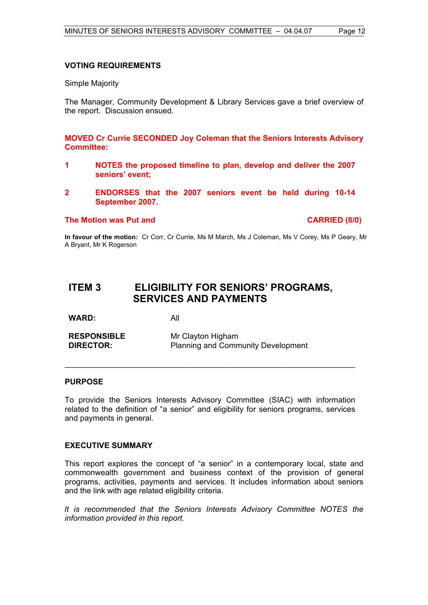# **VOTING REQUIREMENTS**

Simple Majority

The Manager, Community Development & Library Services gave a brief overview of the report. Discussion ensued.

**MOVED Cr Currie SECONDED Joy Coleman that the Seniors Interests Advisory Committee:** 

- **1 NOTES the proposed timeline to plan, develop and deliver the 2007 seniors' event;**
- **2 ENDORSES that the 2007 seniors event be held during 10-14 September 2007.**

#### **The Motion was Put and CARRIED (8/0) CARRIED (8/0)**

**In favour of the motion:** Cr Corr, Cr Currie, Ms M March, Ms J Coleman, Ms V Corey, Ms P Geary, Mr A Bryant, Mr K Rogerson

# **ITEM 3 ELIGIBILITY FOR SENIORS' PROGRAMS, SERVICES AND PAYMENTS**

**WARD:** All

**RESPONSIBLE** Mr Clayton Higham **DIRECTOR:** Planning and Community Development

# **PURPOSE**

To provide the Seniors Interests Advisory Committee (SIAC) with information related to the definition of "a senior" and eligibility for seniors programs, services and payments in general.

\_\_\_\_\_\_\_\_\_\_\_\_\_\_\_\_\_\_\_\_\_\_\_\_\_\_\_\_\_\_\_\_\_\_\_\_\_\_\_\_\_\_\_\_\_\_\_\_\_\_\_\_\_\_\_\_\_\_\_\_\_\_\_\_\_\_

# **EXECUTIVE SUMMARY**

This report explores the concept of "a senior" in a contemporary local, state and commonwealth government and business context of the provision of general programs, activities, payments and services. It includes information about seniors and the link with age related eligibility criteria.

*It is recommended that the Seniors Interests Advisory Committee NOTES the information provided in this report.*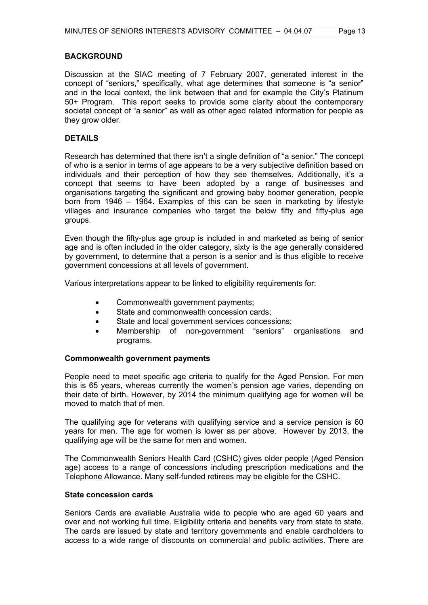# **BACKGROUND**

Discussion at the SIAC meeting of 7 February 2007, generated interest in the concept of "seniors," specifically, what age determines that someone is "a senior" and in the local context, the link between that and for example the City's Platinum 50+ Program. This report seeks to provide some clarity about the contemporary societal concept of "a senior" as well as other aged related information for people as they grow older.

# **DETAILS**

Research has determined that there isn't a single definition of "a senior." The concept of who is a senior in terms of age appears to be a very subjective definition based on individuals and their perception of how they see themselves. Additionally, it's a concept that seems to have been adopted by a range of businesses and organisations targeting the significant and growing baby boomer generation, people born from 1946 – 1964. Examples of this can be seen in marketing by lifestyle villages and insurance companies who target the below fifty and fifty-plus age groups.

Even though the fifty-plus age group is included in and marketed as being of senior age and is often included in the older category, sixty is the age generally considered by government, to determine that a person is a senior and is thus eligible to receive government concessions at all levels of government.

Various interpretations appear to be linked to eligibility requirements for:

- Commonwealth government payments;
- State and commonwealth concession cards:
- State and local government services concessions;
- Membership of non-government "seniors" organisations and programs.

# **Commonwealth government payments**

People need to meet specific age criteria to qualify for the Aged Pension. For men this is 65 years, whereas currently the women's pension age varies, depending on their date of birth. However, by 2014 the minimum qualifying age for women will be moved to match that of men.

The qualifying age for veterans with qualifying service and a service pension is 60 years for men. The age for women is lower as per above. However by 2013, the qualifying age will be the same for men and women.

The Commonwealth Seniors Health Card (CSHC) gives older people (Aged Pension age) access to a range of concessions including prescription medications and the Telephone Allowance. Many self-funded retirees may be eligible for the CSHC.

# **State concession cards**

Seniors Cards are available Australia wide to people who are aged 60 years and over and not working full time. Eligibility criteria and benefits vary from state to state. The cards are issued by state and territory governments and enable cardholders to access to a wide range of discounts on commercial and public activities. There are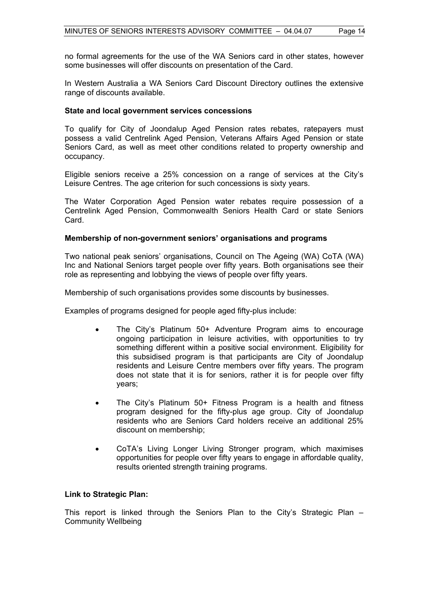no formal agreements for the use of the WA Seniors card in other states, however some businesses will offer discounts on presentation of the Card.

In Western Australia a WA Seniors Card Discount Directory outlines the extensive range of discounts available.

#### **State and local government services concessions**

To qualify for City of Joondalup Aged Pension rates rebates, ratepayers must possess a valid Centrelink Aged Pension, Veterans Affairs Aged Pension or state Seniors Card, as well as meet other conditions related to property ownership and occupancy.

Eligible seniors receive a 25% concession on a range of services at the City's Leisure Centres. The age criterion for such concessions is sixty years.

The Water Corporation Aged Pension water rebates require possession of a Centrelink Aged Pension, Commonwealth Seniors Health Card or state Seniors Card.

#### **Membership of non-government seniors' organisations and programs**

Two national peak seniors' organisations, Council on The Ageing (WA) CoTA (WA) Inc and National Seniors target people over fifty years. Both organisations see their role as representing and lobbying the views of people over fifty years.

Membership of such organisations provides some discounts by businesses.

Examples of programs designed for people aged fifty-plus include:

- The City's Platinum 50+ Adventure Program aims to encourage ongoing participation in leisure activities, with opportunities to try something different within a positive social environment. Eligibility for this subsidised program is that participants are City of Joondalup residents and Leisure Centre members over fifty years. The program does not state that it is for seniors, rather it is for people over fifty years;
- The City's Platinum 50+ Fitness Program is a health and fitness program designed for the fifty-plus age group. City of Joondalup residents who are Seniors Card holders receive an additional 25% discount on membership;
- CoTA's Living Longer Living Stronger program, which maximises opportunities for people over fifty years to engage in affordable quality, results oriented strength training programs.

# **Link to Strategic Plan:**

This report is linked through the Seniors Plan to the City's Strategic Plan – Community Wellbeing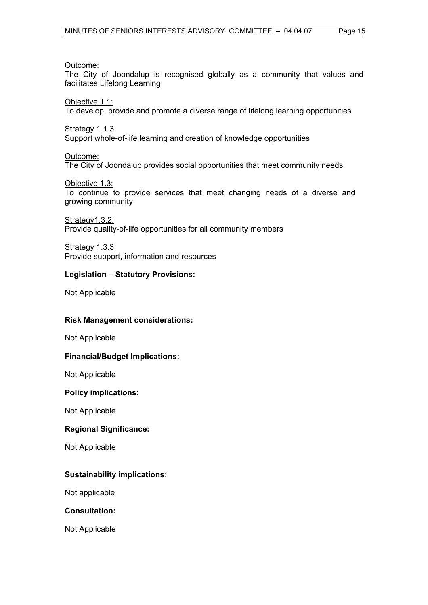# Outcome:

The City of Joondalup is recognised globally as a community that values and facilitates Lifelong Learning

Objective 1.1:

To develop, provide and promote a diverse range of lifelong learning opportunities

Strategy 1.1.3:

Support whole-of-life learning and creation of knowledge opportunities

# Outcome:

The City of Joondalup provides social opportunities that meet community needs

# Objective 1.3:

To continue to provide services that meet changing needs of a diverse and growing community

Strategy1.3.2:

Provide quality-of-life opportunities for all community members

Strategy 1.3.3:

Provide support, information and resources

# **Legislation – Statutory Provisions:**

Not Applicable

# **Risk Management considerations:**

Not Applicable

# **Financial/Budget Implications:**

Not Applicable

# **Policy implications:**

Not Applicable

# **Regional Significance:**

Not Applicable

# **Sustainability implications:**

Not applicable

# **Consultation:**

Not Applicable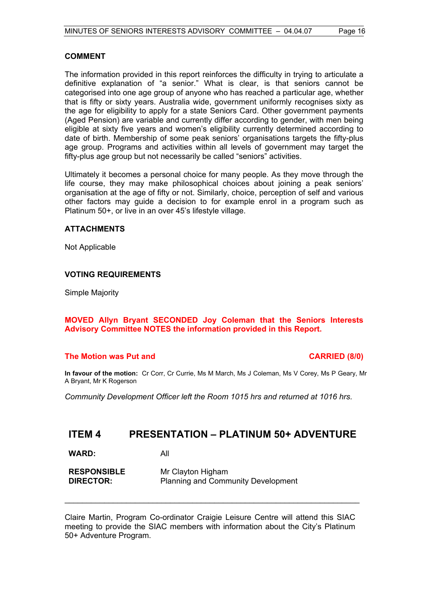# **COMMENT**

The information provided in this report reinforces the difficulty in trying to articulate a definitive explanation of "a senior." What is clear, is that seniors cannot be categorised into one age group of anyone who has reached a particular age, whether that is fifty or sixty years. Australia wide, government uniformly recognises sixty as the age for eligibility to apply for a state Seniors Card. Other government payments (Aged Pension) are variable and currently differ according to gender, with men being eligible at sixty five years and women's eligibility currently determined according to date of birth. Membership of some peak seniors' organisations targets the fifty-plus age group. Programs and activities within all levels of government may target the fifty-plus age group but not necessarily be called "seniors" activities.

Ultimately it becomes a personal choice for many people. As they move through the life course, they may make philosophical choices about joining a peak seniors' organisation at the age of fifty or not. Similarly, choice, perception of self and various other factors may guide a decision to for example enrol in a program such as Platinum 50+, or live in an over 45's lifestyle village.

# **ATTACHMENTS**

Not Applicable

# **VOTING REQUIREMENTS**

Simple Majority

# **MOVED Allyn Bryant SECONDED Joy Coleman that the Seniors Interests Advisory Committee NOTES the information provided in this Report.**

# **The Motion was Put and CARRIED (8/0)**

**In favour of the motion:** Cr Corr, Cr Currie, Ms M March, Ms J Coleman, Ms V Corey, Ms P Geary, Mr A Bryant, Mr K Rogerson

*Community Development Officer left the Room 1015 hrs and returned at 1016 hrs.* 

# **ITEM 4 PRESENTATION – PLATINUM 50+ ADVENTURE**

**WARD:** All

| <b>RESPONSIBLE</b> | Mr Clayton Higham                         |
|--------------------|-------------------------------------------|
| <b>DIRECTOR:</b>   | <b>Planning and Community Development</b> |

Claire Martin, Program Co-ordinator Craigie Leisure Centre will attend this SIAC meeting to provide the SIAC members with information about the City's Platinum 50+ Adventure Program.

\_\_\_\_\_\_\_\_\_\_\_\_\_\_\_\_\_\_\_\_\_\_\_\_\_\_\_\_\_\_\_\_\_\_\_\_\_\_\_\_\_\_\_\_\_\_\_\_\_\_\_\_\_\_\_\_\_\_\_\_\_\_\_\_\_\_\_